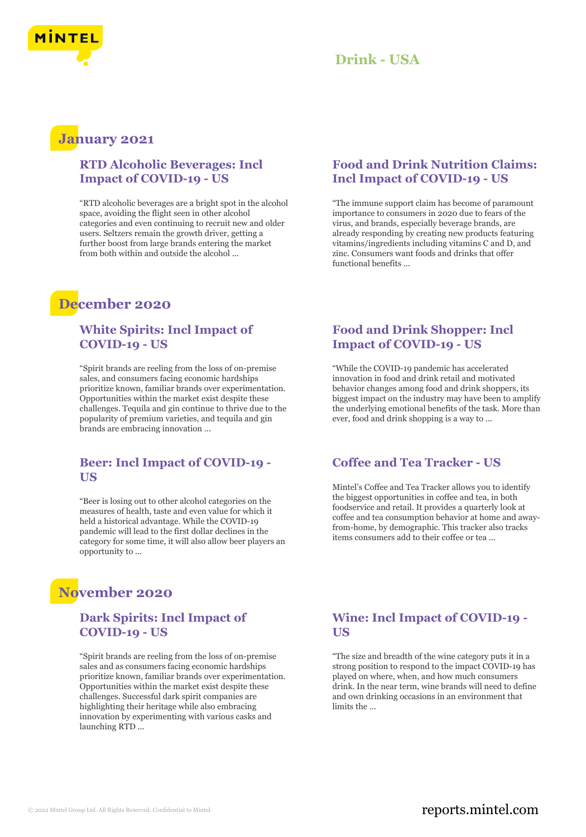

### **January 2021**

#### **RTD Alcoholic Beverages: Incl Impact of COVID-19 - US**

"RTD alcoholic beverages are a bright spot in the alcohol space, avoiding the flight seen in other alcohol categories and even continuing to recruit new and older users. Seltzers remain the growth driver, getting a further boost from large brands entering the market from both within and outside the alcohol ...

### **December 2020**

#### **White Spirits: Incl Impact of COVID-19 - US**

"Spirit brands are reeling from the loss of on-premise sales, and consumers facing economic hardships prioritize known, familiar brands over experimentation. Opportunities within the market exist despite these challenges. Tequila and gin continue to thrive due to the popularity of premium varieties, and tequila and gin brands are embracing innovation ...

#### **Beer: Incl Impact of COVID-19 - US**

"Beer is losing out to other alcohol categories on the measures of health, taste and even value for which it held a historical advantage. While the COVID-19 pandemic will lead to the first dollar declines in the category for some time, it will also allow beer players an opportunity to ...

## **November 2020**

#### **Dark Spirits: Incl Impact of COVID-19 - US**

"Spirit brands are reeling from the loss of on-premise sales and as consumers facing economic hardships prioritize known, familiar brands over experimentation. Opportunities within the market exist despite these challenges. Successful dark spirit companies are highlighting their heritage while also embracing innovation by experimenting with various casks and launching RTD ...

#### **Food and Drink Nutrition Claims: Incl Impact of COVID-19 - US**

"The immune support claim has become of paramount importance to consumers in 2020 due to fears of the virus, and brands, especially beverage brands, are already responding by creating new products featuring vitamins/ingredients including vitamins C and D, and zinc. Consumers want foods and drinks that offer functional benefits ...

#### **Food and Drink Shopper: Incl Impact of COVID-19 - US**

"While the COVID-19 pandemic has accelerated innovation in food and drink retail and motivated behavior changes among food and drink shoppers, its biggest impact on the industry may have been to amplify the underlying emotional benefits of the task. More than ever, food and drink shopping is a way to ...

#### **Coffee and Tea Tracker - US**

Mintel's Coffee and Tea Tracker allows you to identify the biggest opportunities in coffee and tea, in both foodservice and retail. It provides a quarterly look at coffee and tea consumption behavior at home and awayfrom-home, by demographic. This tracker also tracks items consumers add to their coffee or tea ...

#### **Wine: Incl Impact of COVID-19 - US**

"The size and breadth of the wine category puts it in a strong position to respond to the impact COVID-19 has played on where, when, and how much consumers drink. In the near term, wine brands will need to define and own drinking occasions in an environment that limits the ...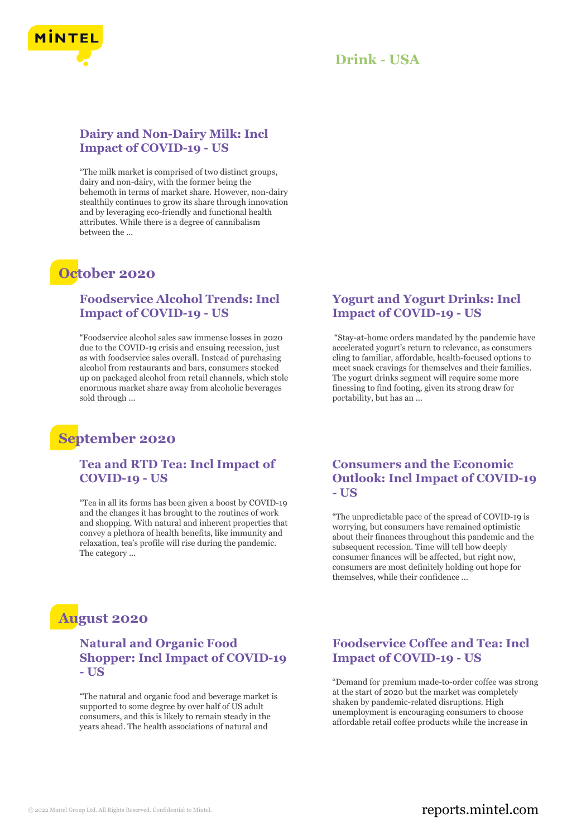

#### **Dairy and Non-Dairy Milk: Incl Impact of COVID-19 - US**

"The milk market is comprised of two distinct groups, dairy and non-dairy, with the former being the behemoth in terms of market share. However, non-dairy stealthily continues to grow its share through innovation and by leveraging eco-friendly and functional health attributes. While there is a degree of cannibalism between the ...

### **October 2020**

#### **Foodservice Alcohol Trends: Incl Impact of COVID-19 - US**

"Foodservice alcohol sales saw immense losses in 2020 due to the COVID-19 crisis and ensuing recession, just as with foodservice sales overall. Instead of purchasing alcohol from restaurants and bars, consumers stocked up on packaged alcohol from retail channels, which stole enormous market share away from alcoholic beverages sold through ...

### **September 2020**

#### **Tea and RTD Tea: Incl Impact of COVID-19 - US**

"Tea in all its forms has been given a boost by COVID-19 and the changes it has brought to the routines of work and shopping. With natural and inherent properties that convey a plethora of health benefits, like immunity and relaxation, tea's profile will rise during the pandemic. The category ...

### **August 2020**

#### **Natural and Organic Food Shopper: Incl Impact of COVID-19 - US**

"The natural and organic food and beverage market is supported to some degree by over half of US adult consumers, and this is likely to remain steady in the years ahead. The health associations of natural and

#### **Yogurt and Yogurt Drinks: Incl Impact of COVID-19 - US**

"Stay-at-home orders mandated by the pandemic have accelerated yogurt's return to relevance, as consumers cling to familiar, affordable, health-focused options to meet snack cravings for themselves and their families. The yogurt drinks segment will require some more finessing to find footing, given its strong draw for portability, but has an ...

#### **Consumers and the Economic Outlook: Incl Impact of COVID-19 - US**

"The unpredictable pace of the spread of COVID-19 is worrying, but consumers have remained optimistic about their finances throughout this pandemic and the subsequent recession. Time will tell how deeply consumer finances will be affected, but right now, consumers are most definitely holding out hope for themselves, while their confidence ...

#### **Foodservice Coffee and Tea: Incl Impact of COVID-19 - US**

"Demand for premium made-to-order coffee was strong at the start of 2020 but the market was completely shaken by pandemic-related disruptions. High unemployment is encouraging consumers to choose affordable retail coffee products while the increase in

#### © 2022 Mintel Group Ltd. All Rights Reserved. Confidential to Mintel.  $\blacksquare$  reports.mintel.com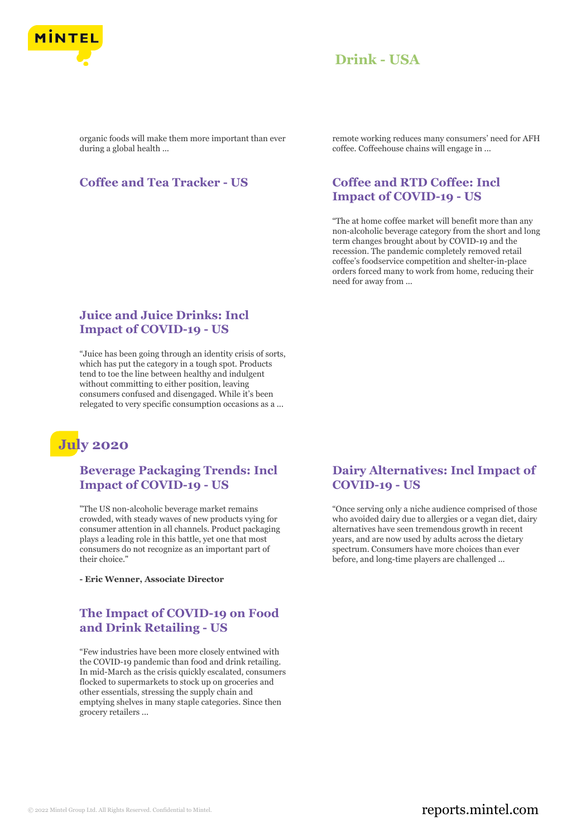

organic foods will make them more important than ever during a global health ...

#### **Coffee and Tea Tracker - US Coffee and RTD Coffee: Incl**

remote working reduces many consumers' need for AFH coffee. Coffeehouse chains will engage in ...

# **Impact of COVID-19 - US**

"The at home coffee market will benefit more than any non-alcoholic beverage category from the short and long term changes brought about by COVID-19 and the recession. The pandemic completely removed retail coffee's foodservice competition and shelter-in-place orders forced many to work from home, reducing their need for away from ...

#### **Juice and Juice Drinks: Incl Impact of COVID-19 - US**

"Juice has been going through an identity crisis of sorts, which has put the category in a tough spot. Products tend to toe the line between healthy and indulgent without committing to either position, leaving consumers confused and disengaged. While it's been relegated to very specific consumption occasions as a ...

## **July 2020**

#### **Beverage Packaging Trends: Incl Impact of COVID-19 - US**

"The US non-alcoholic beverage market remains crowded, with steady waves of new products vying for consumer attention in all channels. Product packaging plays a leading role in this battle, yet one that most consumers do not recognize as an important part of their choice."

**- Eric Wenner, Associate Director**

#### **The Impact of COVID-19 on Food and Drink Retailing - US**

"Few industries have been more closely entwined with the COVID-19 pandemic than food and drink retailing. In mid-March as the crisis quickly escalated, consumers flocked to supermarkets to stock up on groceries and other essentials, stressing the supply chain and emptying shelves in many staple categories. Since then grocery retailers ...

#### **Dairy Alternatives: Incl Impact of COVID-19 - US**

"Once serving only a niche audience comprised of those who avoided dairy due to allergies or a vegan diet, dairy alternatives have seen tremendous growth in recent years, and are now used by adults across the dietary spectrum. Consumers have more choices than ever before, and long-time players are challenged ...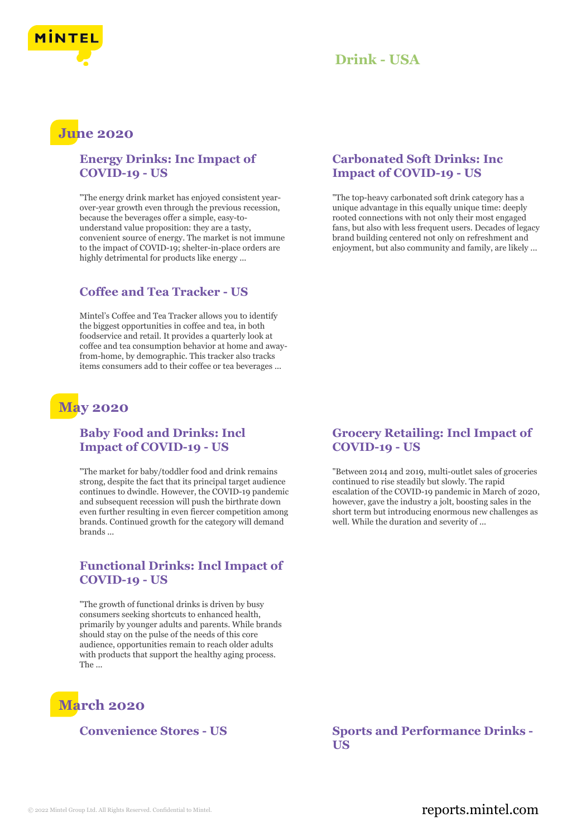

### **June 2020**

#### **Energy Drinks: Inc Impact of COVID-19 - US**

"The energy drink market has enjoyed consistent yearover-year growth even through the previous recession, because the beverages offer a simple, easy-tounderstand value proposition: they are a tasty, convenient source of energy. The market is not immune to the impact of COVID-19; shelter-in-place orders are highly detrimental for products like energy ...

#### **Coffee and Tea Tracker - US**

Mintel's Coffee and Tea Tracker allows you to identify the biggest opportunities in coffee and tea, in both foodservice and retail. It provides a quarterly look at coffee and tea consumption behavior at home and awayfrom-home, by demographic. This tracker also tracks items consumers add to their coffee or tea beverages ...

### **May 2020**

#### **Baby Food and Drinks: Incl Impact of COVID-19 - US**

"The market for baby/toddler food and drink remains strong, despite the fact that its principal target audience continues to dwindle. However, the COVID-19 pandemic and subsequent recession will push the birthrate down even further resulting in even fiercer competition among brands. Continued growth for the category will demand brands ...

#### **Functional Drinks: Incl Impact of COVID-19 - US**

"The growth of functional drinks is driven by busy consumers seeking shortcuts to enhanced health, primarily by younger adults and parents. While brands should stay on the pulse of the needs of this core audience, opportunities remain to reach older adults with products that support the healthy aging process. The ...

### **March 2020**

#### **Carbonated Soft Drinks: Inc Impact of COVID-19 - US**

"The top-heavy carbonated soft drink category has a unique advantage in this equally unique time: deeply rooted connections with not only their most engaged fans, but also with less frequent users. Decades of legacy brand building centered not only on refreshment and enjoyment, but also community and family, are likely ...

#### **Grocery Retailing: Incl Impact of COVID-19 - US**

"Between 2014 and 2019, multi-outlet sales of groceries continued to rise steadily but slowly. The rapid escalation of the COVID-19 pandemic in March of 2020, however, gave the industry a jolt, boosting sales in the short term but introducing enormous new challenges as well. While the duration and severity of ...

**Convenience Stores - US Sports and Performance Drinks - US**

#### © 2022 Mintel Group Ltd. All Rights Reserved. Confidential to Mintel.  $\blacksquare$  reports.mintel.com